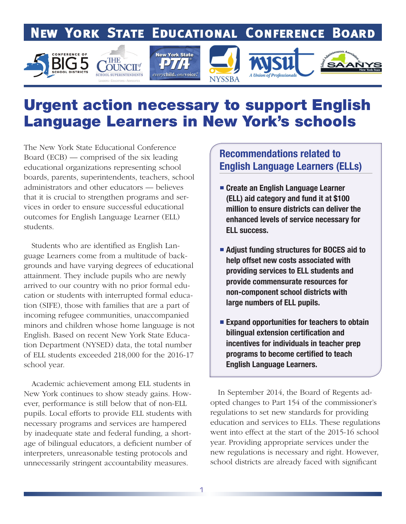# **NEW YORK STATE EDUCATIONAL CONFERENCE BOARD**







# Urgent action necessary to support English Language Learners in New York's schools

The New York State Educational Conference Board (ECB) — comprised of the six leading educational organizations representing school boards, parents, superintendents, teachers, school administrators and other educators — believes that it is crucial to strengthen programs and services in order to ensure successful educational outcomes for English Language Learner (ELL) students.

 Students who are identified as English Language Learners come from a multitude of backgrounds and have varying degrees of educational attainment. They include pupils who are newly arrived to our country with no prior formal education or students with interrupted formal education (SIFE), those with families that are a part of incoming refugee communities, unaccompanied minors and children whose home language is not English. Based on recent New York State Education Department (NYSED) data, the total number of ELL students exceeded 218,000 for the 2016-17 school year.

 Academic achievement among ELL students in New York continues to show steady gains. However, performance is still below that of non-ELL pupils. Local efforts to provide ELL students with necessary programs and services are hampered by inadequate state and federal funding, a shortage of bilingual educators, a deficient number of interpreters, unreasonable testing protocols and unnecessarily stringent accountability measures.

## Recommendations related to English Language Learners (ELLs)

- Create an English Language Learner (ELL) aid category and fund it at \$100 million to ensure districts can deliver the enhanced levels of service necessary for ELL success.
- Adjust funding structures for BOCES aid to help offset new costs associated with providing services to ELL students and provide commensurate resources for non-component school districts with large numbers of ELL pupils.
- **Expand opportunities for teachers to obtain** bilingual extension certification and incentives for individuals in teacher prep programs to become certified to teach English Language Learners.

 In September 2014, the Board of Regents adopted changes to Part 154 of the commissioner's regulations to set new standards for providing education and services to ELLs. These regulations went into effect at the start of the 2015-16 school year. Providing appropriate services under the new regulations is necessary and right. However, school districts are already faced with significant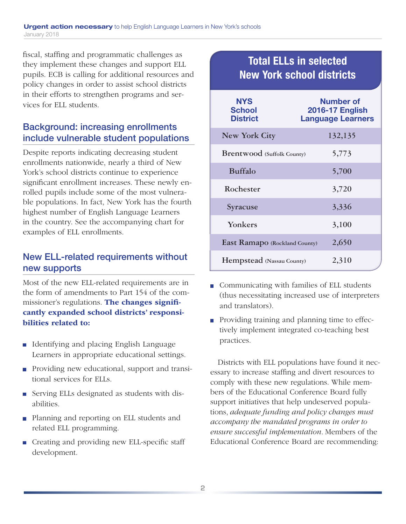fiscal, staffing and programmatic challenges as they implement these changes and support ELL pupils. ECB is calling for additional resources and policy changes in order to assist school districts in their efforts to strengthen programs and services for ELL students.

### Background: increasing enrollments include vulnerable student populations

Despite reports indicating decreasing student enrollments nationwide, nearly a third of New York's school districts continue to experience significant enrollment increases. These newly enrolled pupils include some of the most vulnerable populations. In fact, New York has the fourth highest number of English Language Learners in the country. See the accompanying chart for examples of ELL enrollments.

### New ELL-related requirements without new supports

Most of the new ELL-related requirements are in the form of amendments to Part 154 of the commissioner's regulations. The changes significantly expanded school districts' responsibilities related to:

- Identifying and placing English Language Learners in appropriate educational settings.
- **Providing new educational, support and transi**tional services for ELLs.
- Serving ELLs designated as students with disabilities.
- **Planning and reporting on ELL students and** related ELL programming.
- Creating and providing new ELL-specific staff development.

## Total ELLs in selected New York school districts

| <b>NYS</b><br><b>School</b><br><b>District</b> | Number of<br><b>2016-17 English</b><br><b>Language Learners</b> |
|------------------------------------------------|-----------------------------------------------------------------|
| <b>New York City</b>                           | 132,135                                                         |
| <b>Brentwood</b> (Suffolk County)              | 5,773                                                           |
| <b>Buffalo</b>                                 | 5,700                                                           |
| Rochester                                      | 3,720                                                           |
| Syracuse                                       | 3,336                                                           |
| Yonkers                                        | 3,100                                                           |
| East Ramapo (Rockland County)                  | 2,650                                                           |
| <b>Hempstead</b> (Nassau County)               | 2,310                                                           |

- Communicating with families of ELL students (thus necessitating increased use of interpreters and translators).
- **Providing training and planning time to effec**tively implement integrated co-teaching best practices.

 Districts with ELL populations have found it necessary to increase staffing and divert resources to comply with these new regulations. While members of the Educational Conference Board fully support initiatives that help undeserved populations, *adequate funding and policy changes must accompany the mandated programs in order to ensure successful implementation.* Members of the Educational Conference Board are recommending: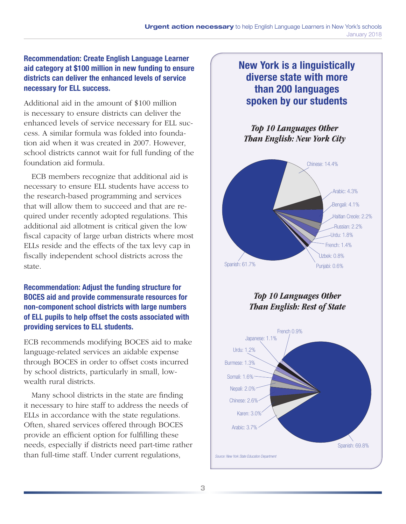#### Recommendation: Create English Language Learner aid category at \$100 million in new funding to ensure districts can deliver the enhanced levels of service necessary for ELL success.

Additional aid in the amount of \$100 million is necessary to ensure districts can deliver the enhanced levels of service necessary for ELL success. A similar formula was folded into foundation aid when it was created in 2007. However, school districts cannot wait for full funding of the foundation aid formula.

 ECB members recognize that additional aid is necessary to ensure ELL students have access to the research-based programming and services that will allow them to succeed and that are required under recently adopted regulations. This additional aid allotment is critical given the low fiscal capacity of large urban districts where most ELLs reside and the effects of the tax levy cap in fiscally independent school districts across the state.

#### Recommendation: Adjust the funding structure for BOCES aid and provide commensurate resources for non-component school districts with large numbers of ELL pupils to help offset the costs associated with providing services to ELL students.

ECB recommends modifying BOCES aid to make language-related services an aidable expense through BOCES in order to offset costs incurred by school districts, particularly in small, lowwealth rural districts.

 Many school districts in the state are finding it necessary to hire staff to address the needs of ELLs in accordance with the state regulations. Often, shared services offered through BOCES provide an efficient option for fulfilling these needs, especially if districts need part-time rather than full-time staff. Under current regulations,

## New York is a linguistically diverse state with more than 200 languages spoken by our students

#### *Top 10 Languages Other Than English: New York City*



*Top 10 Languages Other Than English: Rest of State*